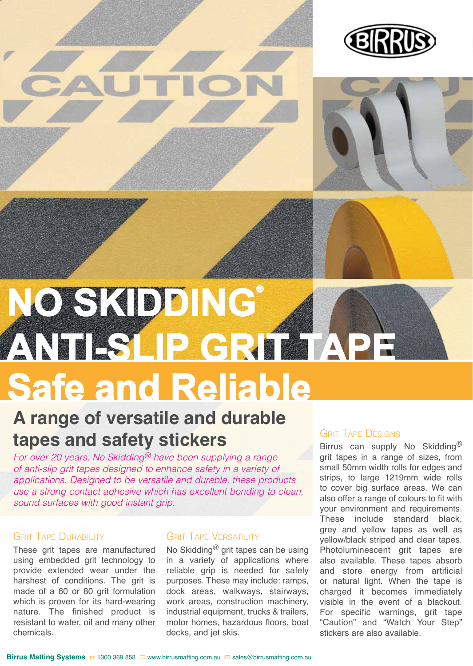







## **A range of versatile and durable tapes and safety stickers**

*For over 20 years, No Skidding® have been supplying a range of anti-slip grit tapes designed to enhance safety in a variety of applications. Designed to be versatile and durable, these products use a strong contact adhesive which has excellent bonding to clean, sound surfaces with good instant grip.* 

#### **GRIT TAPE DURABILITY**

These grit tapes are manufactured using embedded grit technology to provide extended wear under the harshest of conditions. The grit is made of a 60 or 80 grit formulation which is proven for its hard-wearing nature. The finished product is resistant to water, oil and many other chemicals.

#### **GRIT TAPE VERSATILITY**

No Skidding® grit tapes can be using in a variety of applications where reliable grip is needed for safely purposes. These may include: ramps, dock areas, walkways, stairways, work areas, construction machinery, industrial equipment, trucks & trailers, motor homes, hazardous floors, boat decks, and jet skis.

#### **GRIT TAPE DESIGNS**

Birrus can supply No Skidding<sup>®</sup> grit tapes in a range of sizes, from small 50mm width rolls for edges and strips, to large 1219mm wide rolls to cover big surface areas. We can also offer a range of colours to fit with your environment and requirements. These include standard black, grey and yellow tapes as well as yellow/black striped and clear tapes. Photoluminescent grit tapes are also available. These tapes absorb and store energy from artificial or natural light. When the tape is charged it becomes immediately visible in the event of a blackout. For specific warnings, grit tape "Caution" and "Watch Your Step" stickers are also available.